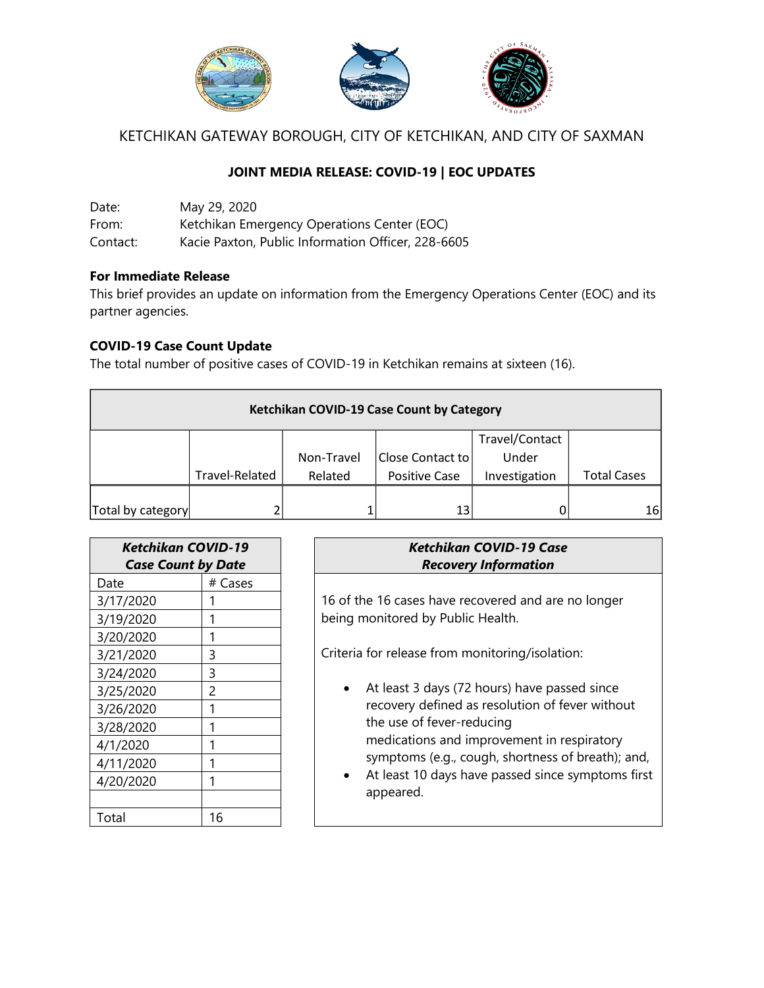

KETCHIKAN GATEWAY BOROUGH, CITY OF KETCHIKAN, AND CITY OF SAXMAN

# **JOINT MEDIA RELEASE: COVID-19 | EOC UPDATES**

Date: May 29, 2020 From: Ketchikan Emergency Operations Center (EOC) Contact: Kacie Paxton, Public Information Officer, 228-6605

### **For Immediate Release**

This brief provides an update on information from the Emergency Operations Center (EOC) and its partner agencies.

## **COVID-19 Case Count Update**

The total number of positive cases of COVID-19 in Ketchikan remains at sixteen (16).

| Ketchikan COVID-19 Case Count by Category |                |            |                          |                |                    |  |  |  |
|-------------------------------------------|----------------|------------|--------------------------|----------------|--------------------|--|--|--|
|                                           |                |            |                          | Travel/Contact |                    |  |  |  |
|                                           |                | Non-Travel | <b>IClose Contact to</b> | Under          |                    |  |  |  |
|                                           | Travel-Related | Related    | <b>Positive Case</b>     | Investigation  | <b>Total Cases</b> |  |  |  |
|                                           |                |            |                          |                |                    |  |  |  |
| Total by category                         |                |            | 13                       |                | 16                 |  |  |  |

| <b>Ketchikan COVID-19</b><br><b>Case Count by Date</b> |         | Ketchikan COVID-19 Case<br><b>Recovery Information</b> |  |  |
|--------------------------------------------------------|---------|--------------------------------------------------------|--|--|
| Date                                                   | # Cases |                                                        |  |  |
| 3/17/2020                                              |         | 16 of the 16 cases have recovered and are no longer    |  |  |
| 3/19/2020                                              |         | being monitored by Public Health.                      |  |  |
| 3/20/2020                                              |         |                                                        |  |  |
| 3/21/2020                                              | 3       | Criteria for release from monitoring/isolation:        |  |  |
| 3/24/2020                                              | 3       |                                                        |  |  |
| 3/25/2020                                              | 2       | At least 3 days (72 hours) have passed since           |  |  |
| 3/26/2020                                              |         | recovery defined as resolution of fever without        |  |  |
| 3/28/2020                                              |         | the use of fever-reducing                              |  |  |
| 4/1/2020                                               |         | medications and improvement in respiratory             |  |  |
| 4/11/2020                                              | 1       | symptoms (e.g., cough, shortness of breath); and,      |  |  |
| 4/20/2020                                              | ◀       | At least 10 days have passed since symptoms first      |  |  |
|                                                        |         | appeared.                                              |  |  |
| Total                                                  | 16      |                                                        |  |  |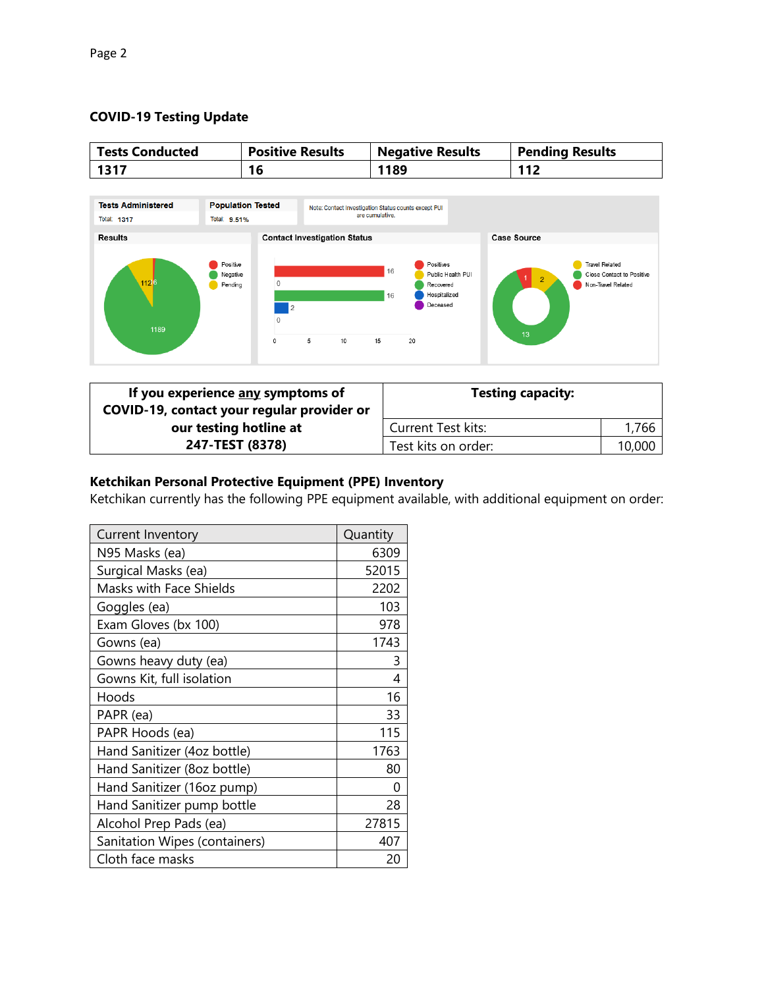### **COVID-19 Testing Update**

| <b>Tests Conducted</b>    | <b>Positive Results</b>  | <b>Negative Results</b> | <b>Pending Results</b> |
|---------------------------|--------------------------|-------------------------|------------------------|
| 1317                      |                          | 1189                    | 112                    |
|                           |                          |                         |                        |
| <b>Toota Administered</b> | <b>Donulation Tested</b> |                         |                        |



| If you experience any symptoms of<br>COVID-19, contact your regular provider or | <b>Testing capacity:</b>  |        |
|---------------------------------------------------------------------------------|---------------------------|--------|
| our testing hotline at                                                          | <b>Current Test kits:</b> | 1,766  |
| 247-TEST (8378)                                                                 | Test kits on order:       | 10,000 |

## **Ketchikan Personal Protective Equipment (PPE) Inventory**

Ketchikan currently has the following PPE equipment available, with additional equipment on order:

| <b>Current Inventory</b>       | Quantity |
|--------------------------------|----------|
| N95 Masks (ea)                 | 6309     |
| Surgical Masks (ea)            | 52015    |
| <b>Masks with Face Shields</b> | 2202     |
| Goggles (ea)                   | 103      |
| Exam Gloves (bx 100)           | 978      |
| Gowns (ea)                     | 1743     |
| Gowns heavy duty (ea)          | 3        |
| Gowns Kit, full isolation      | 4        |
| Hoods                          | 16       |
| PAPR (ea)                      | 33       |
| PAPR Hoods (ea)                | 115      |
| Hand Sanitizer (4oz bottle)    | 1763     |
| Hand Sanitizer (8oz bottle)    | 80       |
| Hand Sanitizer (16oz pump)     | N        |
| Hand Sanitizer pump bottle     | 28       |
| Alcohol Prep Pads (ea)         | 27815    |
| Sanitation Wipes (containers)  | 407      |
| Cloth face masks               | 20       |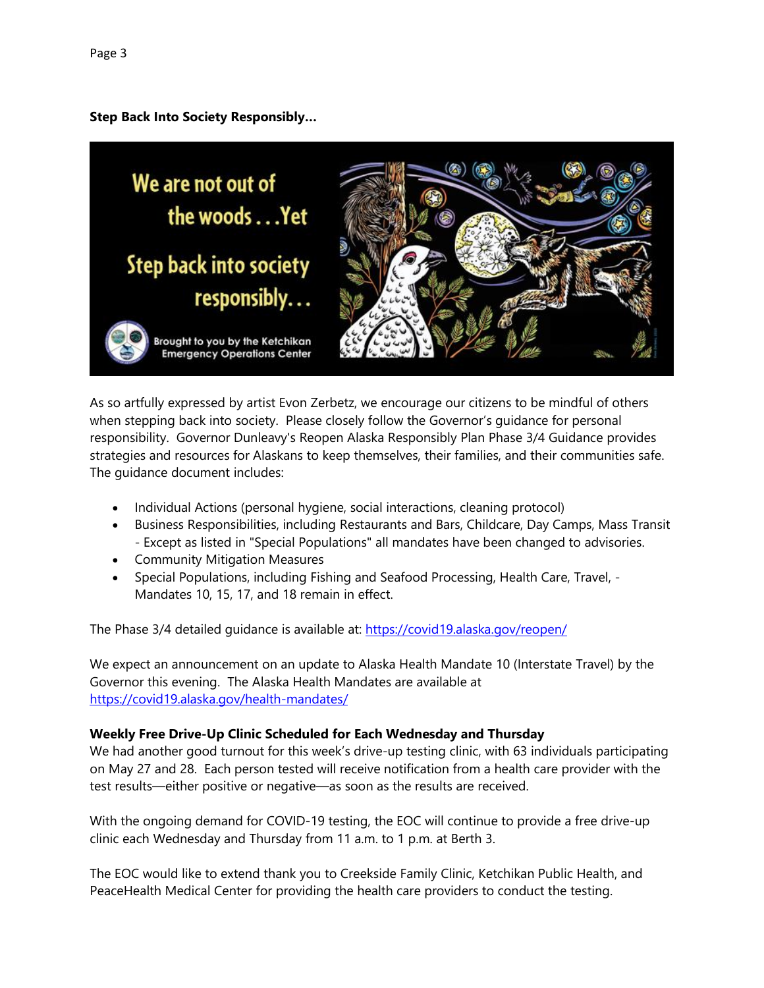**Step Back Into Society Responsibly…**



As so artfully expressed by artist Evon Zerbetz, we encourage our citizens to be mindful of others when stepping back into society. Please closely follow the Governor's guidance for personal responsibility. Governor Dunleavy's Reopen Alaska Responsibly Plan Phase 3/4 Guidance provides strategies and resources for Alaskans to keep themselves, their families, and their communities safe. The guidance document includes:

- Individual Actions (personal hygiene, social interactions, cleaning protocol)
- Business Responsibilities, including Restaurants and Bars, Childcare, Day Camps, Mass Transit - Except as listed in "Special Populations" all mandates have been changed to advisories.
- Community Mitigation Measures
- Special Populations, including Fishing and Seafood Processing, Health Care, Travel, -Mandates 10, 15, 17, and 18 remain in effect.

The Phase 3/4 detailed quidance is available at:<https://covid19.alaska.gov/reopen/>

We expect an announcement on an update to Alaska Health Mandate 10 (Interstate Travel) by the Governor this evening. The Alaska Health Mandates are available at <https://covid19.alaska.gov/health-mandates/>

#### **Weekly Free Drive-Up Clinic Scheduled for Each Wednesday and Thursday**

We had another good turnout for this week's drive-up testing clinic, with 63 individuals participating on May 27 and 28. Each person tested will receive notification from a health care provider with the test results—either positive or negative—as soon as the results are received.

With the ongoing demand for COVID-19 testing, the EOC will continue to provide a free drive-up clinic each Wednesday and Thursday from 11 a.m. to 1 p.m. at Berth 3.

The EOC would like to extend thank you to Creekside Family Clinic, Ketchikan Public Health, and PeaceHealth Medical Center for providing the health care providers to conduct the testing.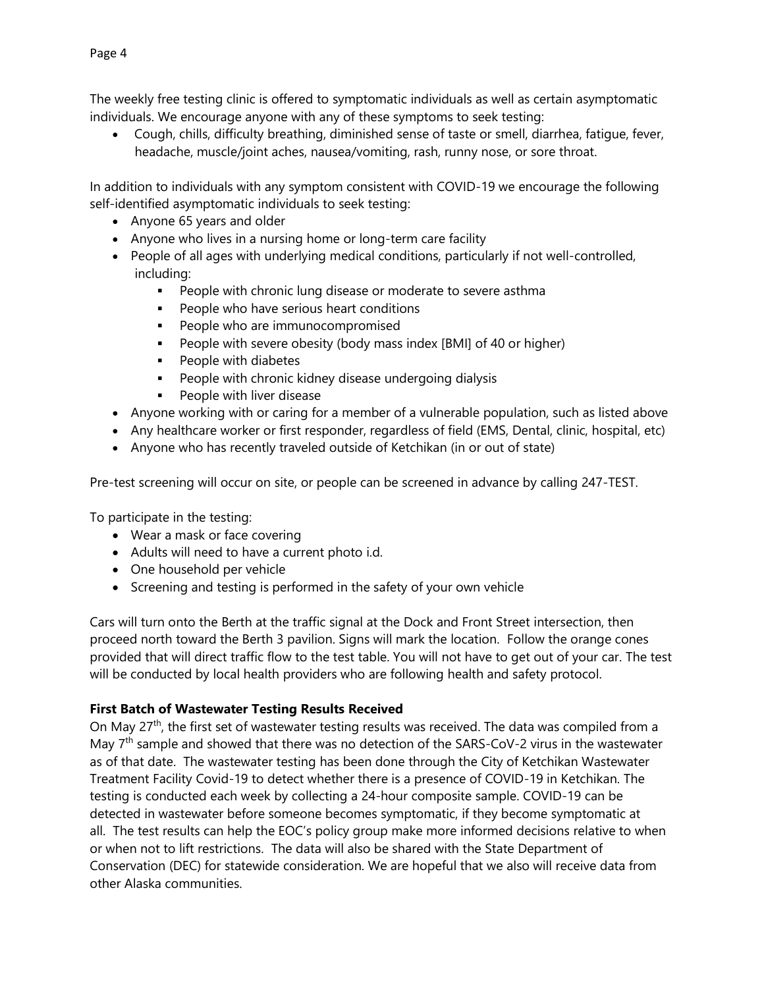The weekly free testing clinic is offered to symptomatic individuals as well as certain asymptomatic individuals. We encourage anyone with any of these symptoms to seek testing:

 Cough, chills, difficulty breathing, diminished sense of taste or smell, diarrhea, fatigue, fever, headache, muscle/joint aches, nausea/vomiting, rash, runny nose, or sore throat.

In addition to individuals with any symptom consistent with COVID-19 we encourage the following self-identified asymptomatic individuals to seek testing:

- Anyone 65 years and older
- Anyone who lives in a nursing home or long-term care facility
- People of all ages with underlying medical conditions, particularly if not well-controlled, including:
	- **People with chronic lung disease or moderate to severe asthma**
	- **People who have serious heart conditions**
	- **People who are immunocompromised**
	- **People with severe obesity (body mass index [BMI] of 40 or higher)**
	- **People with diabetes**
	- **People with chronic kidney disease undergoing dialysis**
	- **People with liver disease**
- Anyone working with or caring for a member of a vulnerable population, such as listed above
- Any healthcare worker or first responder, regardless of field (EMS, Dental, clinic, hospital, etc)
- Anyone who has recently traveled outside of Ketchikan (in or out of state)

Pre-test screening will occur on site, or people can be screened in advance by calling 247-TEST.

To participate in the testing:

- Wear a mask or face covering
- Adults will need to have a current photo i.d.
- One household per vehicle
- Screening and testing is performed in the safety of your own vehicle

Cars will turn onto the Berth at the traffic signal at the Dock and Front Street intersection, then proceed north toward the Berth 3 pavilion. Signs will mark the location. Follow the orange cones provided that will direct traffic flow to the test table. You will not have to get out of your car. The test will be conducted by local health providers who are following health and safety protocol.

### **First Batch of Wastewater Testing Results Received**

On May 27<sup>th</sup>, the first set of wastewater testing results was received. The data was compiled from a May  $7<sup>th</sup>$  sample and showed that there was no detection of the SARS-CoV-2 virus in the wastewater as of that date. The wastewater testing has been done through the City of Ketchikan Wastewater Treatment Facility Covid-19 to detect whether there is a presence of COVID-19 in Ketchikan. The testing is conducted each week by collecting a 24-hour composite sample. COVID-19 can be detected in wastewater before someone becomes symptomatic, if they become symptomatic at all. The test results can help the EOC's policy group make more informed decisions relative to when or when not to lift restrictions. The data will also be shared with the State Department of Conservation (DEC) for statewide consideration. We are hopeful that we also will receive data from other Alaska communities.